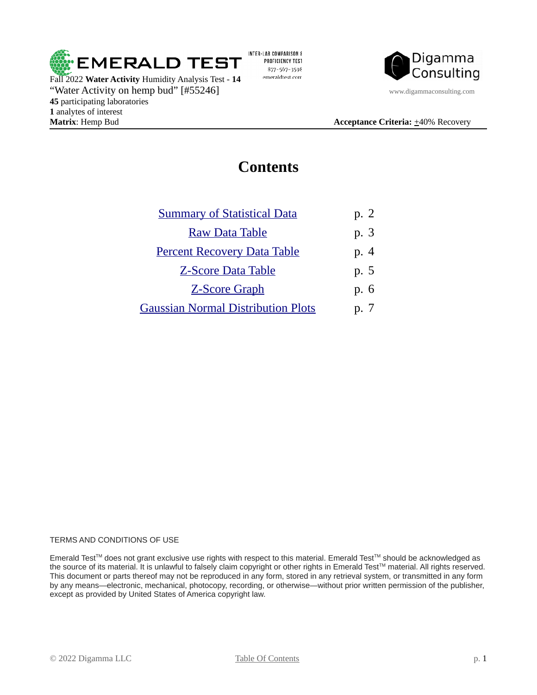

Fall 2022 **Water Activity** Humidity Analysis Test - **14** "Water Activity on hemp bud" [#55246] www.digammaconsulting.com **45** participating laboratories **1** analytes of interest **Matrix**: Hemp Bud **Acceptance Criteria:**  $\pm$ 40% Recovery

INTER-LAB COMPARISON & PROFICIENCY TEST 877-567-3598 emeraldtest.com



### <span id="page-0-0"></span>**Contents**

| <b>Summary of Statistical Data</b>        | p. 2            |
|-------------------------------------------|-----------------|
| <b>Raw Data Table</b>                     | p. 3            |
| <b>Percent Recovery Data Table</b>        | p. 4            |
| <b>Z-Score Data Table</b>                 | p. 5            |
| <b>Z-Score Graph</b>                      | p. 6            |
| <b>Gaussian Normal Distribution Plots</b> | $D.$ $\sqrt{ }$ |

### TERMS AND CONDITIONS OF USE

Emerald Test™ does not grant exclusive use rights with respect to this material. Emerald Test™ should be acknowledged as the source of its material. It is unlawful to falsely claim copyright or other rights in Emerald Test™ material. All rights reserved. This document or parts thereof may not be reproduced in any form, stored in any retrieval system, or transmitted in any form by any means—electronic, mechanical, photocopy, recording, or otherwise—without prior written permission of the publisher, except as provided by United States of America copyright law.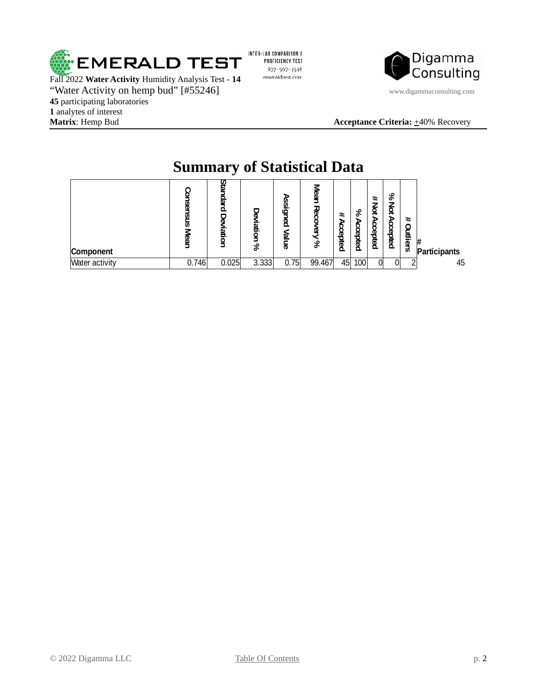

Fall 2022 **Water Activity** Humidity Analysis Test - **14** "Water Activity on hemp bud" [#55246] www.digammaconsulting.com **45** participating laboratories **1** analytes of interest **Matrix**: Hemp Bud **Acceptance Criteria:**  $\pm$ 40% Recovery

INTER-LAB COMPARISON & PROFICIENCY TEST 877-567-3598 emeraldtest.com



|                       | Summary of Statistical Data |               |             |                          |        |                   |                   |                   |                    |                 |                   |
|-----------------------|-----------------------------|---------------|-------------|--------------------------|--------|-------------------|-------------------|-------------------|--------------------|-----------------|-------------------|
| Component             | ភ<br>T                      | dard<br>iatio | iatio<br>వి | signed<br>ฐ<br><u>er</u> | 공<br>& | #<br>ъ<br>ccepted | &<br>ъ<br>ccepted | #<br>₫<br>ccepted | %<br>ğ<br>Accepted | #<br>g<br>liers | #<br>Participants |
| <b>Water activity</b> | 0.746                       | 0.025         | 3.333       | 0.75                     | 99.467 | 45                | 100               | 0l                |                    |                 | 45                |

## <span id="page-1-0"></span>**Summary of Statistical Data**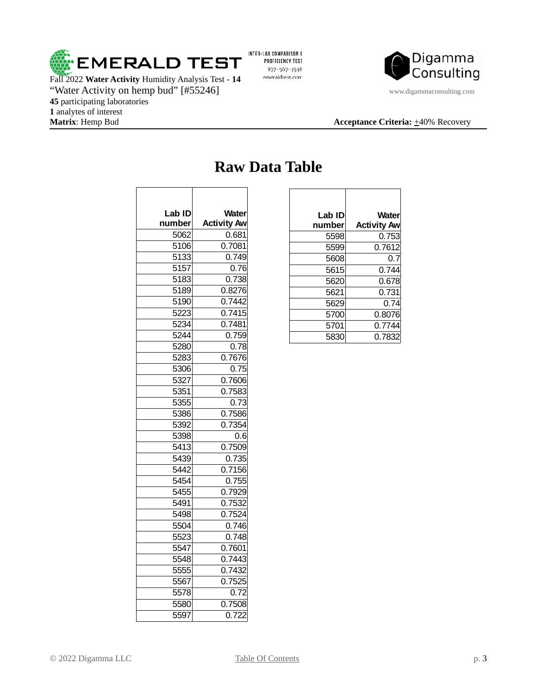

Fall 2022 **Water Activity** Humidity Analysis Test - **14** "Water Activity on hemp bud" [#55246] www.digammaconsulting.com participating laboratories 1 analytes of interest<br>**Matrix**: Hemp Bud

INTER-LAB COMPARISON & PROFICIENCY TEST 877-567-3598 emeraldtest.com



### **Acceptance Criteria:**  $\pm 40\%$  Recovery

 $\overline{\phantom{a}}$ 

| Lab ID<br>number | <b>Water</b><br><b>Activity Aw</b> |
|------------------|------------------------------------|
| 5062             | 0.681                              |
| 5106             | 0.7081                             |
| 5133             | 0.749                              |
| 5157             | 0.76                               |
| 5183             | 0.738                              |
| 5189             | 0.8276                             |
| 5190             | 0.7442                             |
| 5223             | 0.7415                             |
| 5234             | 0.7481                             |
| 5244             | 0.759                              |
| 5280             | 0.78                               |
| 5283             | 0.7676                             |
| 5306             | 0.75                               |
| 5327             | 0.7606                             |
| 5351             | 0.7583                             |
| 5355             | 0.73                               |
| 5386             | 0.7586                             |
| 5392             | 0.7354                             |
| 5398             | 0.6                                |
| 5413             | 0.7509                             |
| 5439             | 0.735                              |
| 5442             | 0.7156                             |
| 5454             | 0.755                              |
| 5455             | 0.7929                             |
| 5491             | 0.7532                             |
| 5498             | 0.7524                             |
| 5504             | 0.746                              |
| 5523             | 0.748                              |
| 5547             | 0.7601                             |
| 5548             | 0.7443                             |
| 5555             | 0.7432                             |
| 5567             | 0.7525                             |
| 5578             | 0.72                               |
| 5580             | 0.7508                             |
| 5597             | 0.722                              |

### <span id="page-2-0"></span>**Raw Data Table**

 $\overline{\phantom{a}}$ 

| Lab ID | <b>Water</b>       |
|--------|--------------------|
| number | <b>Activity Aw</b> |
| 5598   | 0.753              |
| 5599   | 0.7612             |
| 5608   | 0.7                |
| 5615   | 0.744              |
| 5620   | 0.678              |
| 5621   | 0.731              |
| 5629   | 0.74               |
| 5700   | 0.8076             |
| 5701   | 0.7744             |
| 5830   | 0.7832             |

 $\overline{1}$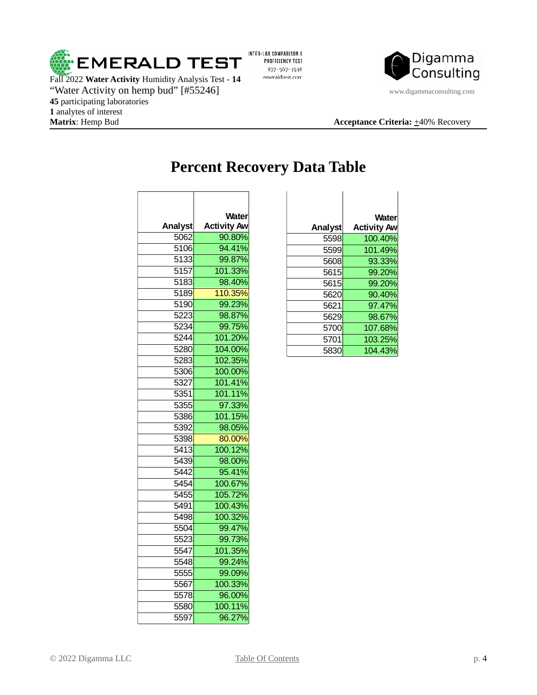

Fall 2022 **Water Activity** Humidity Analysis Test - **14** "Water Activity on hemp bud" [#55246] www.digammaconsulting.com participating laboratories analytes of interest **Matrix**: Hemp Bud **Acceptance Criteria:**  $\pm$ 40% Recovery

INTER-LAB COMPARISON & PROFICIENCY TEST 877-567-3598 emeraldtest.com



## <span id="page-3-0"></span>**Percent Recovery Data Table**

| Water                        |
|------------------------------|
| <b>Activity Aw</b><br>90.80% |
| 94.41%                       |
| 99.87%                       |
| 101.33%                      |
| 98.40%                       |
| 110.35%                      |
| 99.23%                       |
|                              |
| 98.87%                       |
| 99.75%                       |
| 101.20%                      |
| 104.00%                      |
| 102.35%                      |
| 100.00%                      |
| 101.41%                      |
| 101.11%                      |
| 97.33%                       |
| 101.15%                      |
| 98.05%                       |
| 80.00%                       |
| 100.12%                      |
| 98.00%                       |
| 95.41%                       |
| 100.67%                      |
| 105.72%                      |
| 100.43%                      |
| 100.32%                      |
| 99.47%                       |
| 99.73%                       |
| 101.35%                      |
| 99.24%                       |
| 99.09%                       |
| 100.33%                      |
| 96.00%                       |
| 100.11%                      |
| 96.27%                       |
|                              |

| <b>Water</b>       |         | <b>Water</b>       |
|--------------------|---------|--------------------|
| <b>Activity Aw</b> | Analyst | <b>Activity Aw</b> |
| 90.80%             | 5598    | 100.40%            |
| 94.41%             | 5599    | 101.49%            |
| 99.87%             | 5608    | 93.33%             |
| 101.33%            | 5615    | 99.20%             |
| 98.40%             | 5615    | 99.20%             |
| 110.35%            | 5620    | 90.40%             |
| 99.23%             | 5621    | 97.47%             |
| 98.87%             | 5629    | 98.67%             |
| 99.75%             | 5700    | 107.68%            |
| 101.20%            | 5701    | 103.25%            |
| 104.00%            | 5830    | 104.43%            |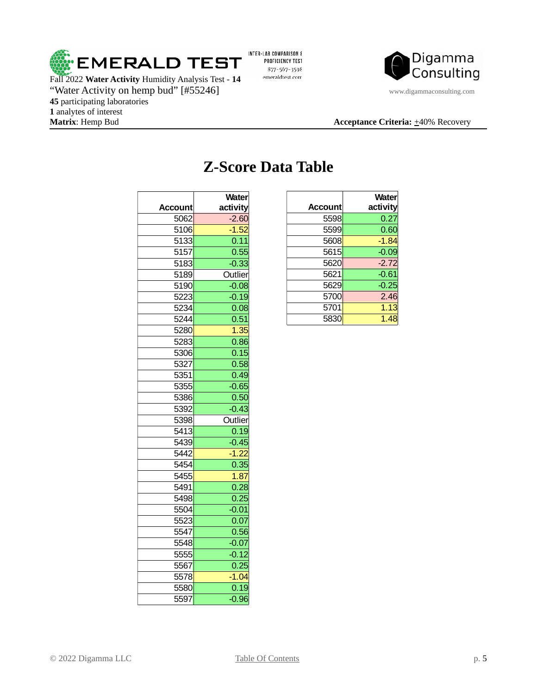

Fall 2022 **Water Activity** Humidity Analysis Test - **14** "Water Activity on hemp bud" [#55246] www.digammaconsulting.com participating laboratories 1 analytes of interest<br>**Matrix**: Hemp Bud

INTER-LAB COMPARISON & PROFICIENCY TEST 877-567-3598 emeraldtest.com



#### **Acceptance Criteria:**  $\pm 40\%$  Recovery

|         | Water    |
|---------|----------|
| Account | activity |
| 5062    | $-2.60$  |
| 5106    | $-1.52$  |
| 5133    | 0.11     |
| 5157    | 0.55     |
| 5183    | $-0.33$  |
| 5189    | Outlier  |
| 5190    | $-0.08$  |
| 5223    | $-0.19$  |
| 5234    | 0.08     |
| 5244    | 0.51     |
| 5280    | 1.35     |
| 5283    | 0.86     |
| 5306    | 0.15     |
| 5327    | 0.58     |
| 5351    | 0.49     |
| 5355    | $-0.65$  |
| 5386    | 0.50     |
| 5392    | $-0.43$  |
| 5398    | Outlier  |
| 5413    | 0.19     |
| 5439    | $-0.45$  |
| 5442    | $-1.22$  |
| 5454    | 0.35     |
| 5455    | 1.87     |
| 5491    | 0.28     |
| 5498    | 0.25     |
| 5504    | $-0.01$  |
| 5523    | 0.07     |
| 5547    | 0.56     |
| 5548    | $-0.07$  |
| 5555    | $-0.12$  |
| 5567    | 0.25     |
| 5578    | $-1.04$  |
| 5580    | 0.19     |
| 5597    | $-0.96$  |

# <span id="page-4-0"></span>**Z-Score Data Table**

| <b>Water</b><br>activity | <b>Account</b> | <b>Water</b><br>activity |
|--------------------------|----------------|--------------------------|
| $-2.60$                  | 5598           | 0.27                     |
| $-1.52$                  | 5599           | 0.60                     |
| 0.11                     | 5608           | $-1.84$                  |
| 0.55                     | 5615           | $-0.09$                  |
| $-0.33$                  | 5620           | $-2.72$                  |
| Outlier                  | 5621           | $-0.61$                  |
| $-0.08$                  | 5629           | $-0.25$                  |
| $-0.19$                  | 5700           | 2.46                     |
| 0.08                     | 5701           | 1.13                     |
| 0.51                     | 5830           | 1.48                     |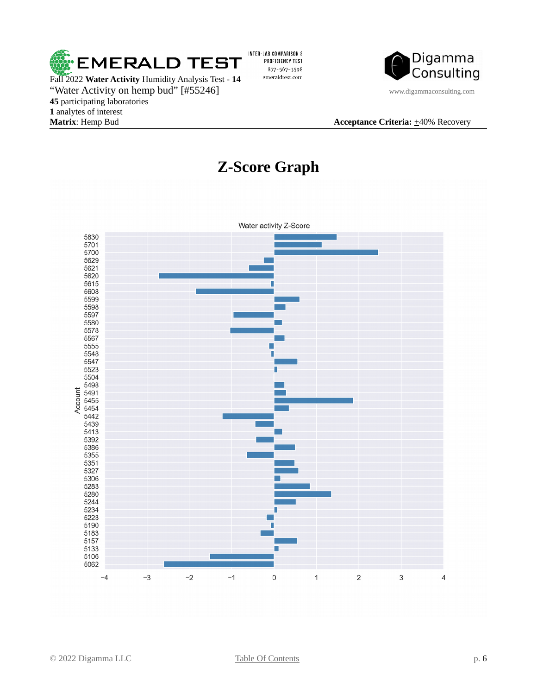

"Water Activity on hemp bud" [#55246] www.digammaconsulting.com **45** participating laboratories **1** analytes of interest **Matrix**: Hemp Bud **Acceptance Criteria:**  $\pm$ 40% Recovery

<span id="page-5-0"></span>INTER-LAB COMPARISON & PROFICIENCY TEST 877-567-3598 emeraldtest.com